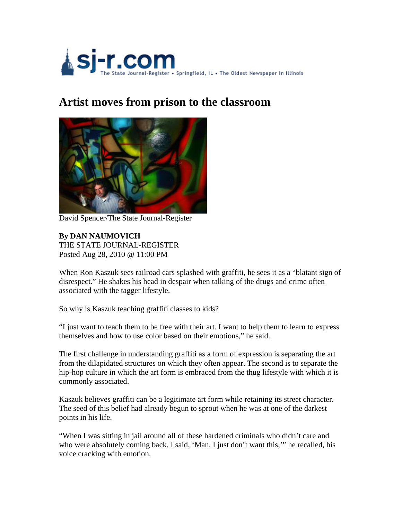

## **Artist moves from prison to the classroom**



David Spencer/The State Journal-Register

**By DAN NAUMOVICH** THE STATE JOURNAL-REGISTER Posted Aug 28, 2010 @ 11:00 PM

When Ron Kaszuk sees railroad cars splashed with graffiti, he sees it as a "blatant sign of disrespect." He shakes his head in despair when talking of the drugs and crime often associated with the tagger lifestyle.

So why is Kaszuk teaching graffiti classes to kids?

"I just want to teach them to be free with their art. I want to help them to learn to express themselves and how to use color based on their emotions," he said.

The first challenge in understanding graffiti as a form of expression is separating the art from the dilapidated structures on which they often appear. The second is to separate the hip-hop culture in which the art form is embraced from the thug lifestyle with which it is commonly associated.

Kaszuk believes graffiti can be a legitimate art form while retaining its street character. The seed of this belief had already begun to sprout when he was at one of the darkest points in his life.

"When I was sitting in jail around all of these hardened criminals who didn't care and who were absolutely coming back, I said, 'Man, I just don't want this,'" he recalled, his voice cracking with emotion.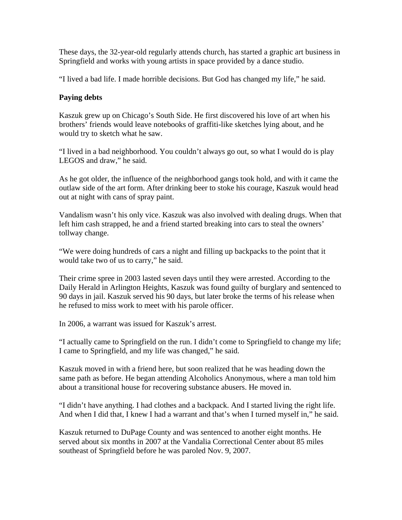These days, the 32-year-old regularly attends church, has started a graphic art business in Springfield and works with young artists in space provided by a dance studio.

"I lived a bad life. I made horrible decisions. But God has changed my life," he said.

## **Paying debts**

Kaszuk grew up on Chicago's South Side. He first discovered his love of art when his brothers' friends would leave notebooks of graffiti-like sketches lying about, and he would try to sketch what he saw.

"I lived in a bad neighborhood. You couldn't always go out, so what I would do is play LEGOS and draw," he said.

As he got older, the influence of the neighborhood gangs took hold, and with it came the outlaw side of the art form. After drinking beer to stoke his courage, Kaszuk would head out at night with cans of spray paint.

Vandalism wasn't his only vice. Kaszuk was also involved with dealing drugs. When that left him cash strapped, he and a friend started breaking into cars to steal the owners' tollway change.

"We were doing hundreds of cars a night and filling up backpacks to the point that it would take two of us to carry," he said.

Their crime spree in 2003 lasted seven days until they were arrested. According to the Daily Herald in Arlington Heights, Kaszuk was found guilty of burglary and sentenced to 90 days in jail. Kaszuk served his 90 days, but later broke the terms of his release when he refused to miss work to meet with his parole officer.

In 2006, a warrant was issued for Kaszuk's arrest.

"I actually came to Springfield on the run. I didn't come to Springfield to change my life; I came to Springfield, and my life was changed," he said.

Kaszuk moved in with a friend here, but soon realized that he was heading down the same path as before. He began attending Alcoholics Anonymous, where a man told him about a transitional house for recovering substance abusers. He moved in.

"I didn't have anything. I had clothes and a backpack. And I started living the right life. And when I did that, I knew I had a warrant and that's when I turned myself in," he said.

Kaszuk returned to DuPage County and was sentenced to another eight months. He served about six months in 2007 at the Vandalia Correctional Center about 85 miles southeast of Springfield before he was paroled Nov. 9, 2007.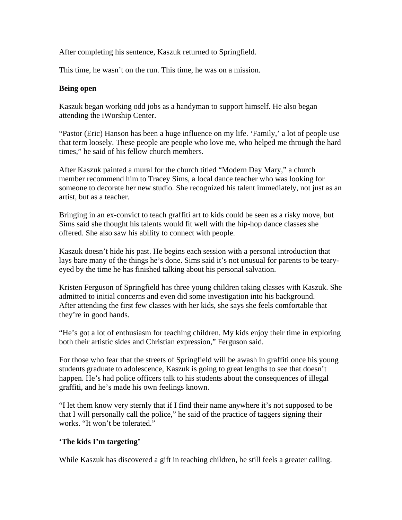After completing his sentence, Kaszuk returned to Springfield.

This time, he wasn't on the run. This time, he was on a mission.

## **Being open**

Kaszuk began working odd jobs as a handyman to support himself. He also began attending the iWorship Center.

"Pastor (Eric) Hanson has been a huge influence on my life. 'Family,' a lot of people use that term loosely. These people are people who love me, who helped me through the hard times," he said of his fellow church members.

After Kaszuk painted a mural for the church titled "Modern Day Mary," a church member recommend him to Tracey Sims, a local dance teacher who was looking for someone to decorate her new studio. She recognized his talent immediately, not just as an artist, but as a teacher.

Bringing in an ex-convict to teach graffiti art to kids could be seen as a risky move, but Sims said she thought his talents would fit well with the hip-hop dance classes she offered. She also saw his ability to connect with people.

Kaszuk doesn't hide his past. He begins each session with a personal introduction that lays bare many of the things he's done. Sims said it's not unusual for parents to be tearyeyed by the time he has finished talking about his personal salvation.

Kristen Ferguson of Springfield has three young children taking classes with Kaszuk. She admitted to initial concerns and even did some investigation into his background. After attending the first few classes with her kids, she says she feels comfortable that they're in good hands.

"He's got a lot of enthusiasm for teaching children. My kids enjoy their time in exploring both their artistic sides and Christian expression," Ferguson said.

For those who fear that the streets of Springfield will be awash in graffiti once his young students graduate to adolescence, Kaszuk is going to great lengths to see that doesn't happen. He's had police officers talk to his students about the consequences of illegal graffiti, and he's made his own feelings known.

"I let them know very sternly that if I find their name anywhere it's not supposed to be that I will personally call the police," he said of the practice of taggers signing their works. "It won't be tolerated."

## **'The kids I'm targeting'**

While Kaszuk has discovered a gift in teaching children, he still feels a greater calling.